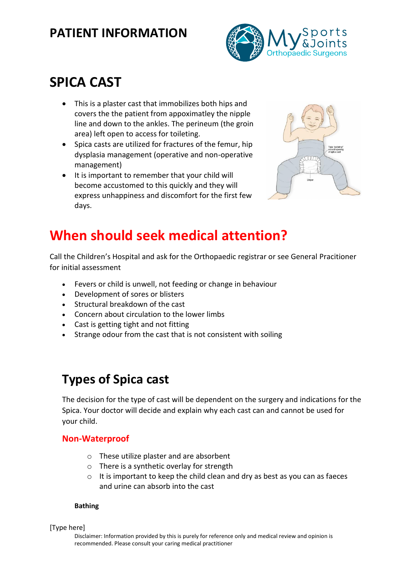# **PATIENT INFORMATION**



# **SPICA CAST**

- This is a plaster cast that immobilizes both hips and covers the the patient from appoximatley the nipple line and down to the ankles. The perineum (the groin area) left open to access for toileting.
- Spica casts are utilized for fractures of the femur, hip dysplasia management (operative and non-operative management)
- It is important to remember that your child will become accustomed to this quickly and they will express unhappiness and discomfort for the first few days.



# **When should seek medical attention?**

Call the Children's Hospital and ask for the Orthopaedic registrar or see General Pracitioner for initial assessment

- Fevers or child is unwell, not feeding or change in behaviour
- Development of sores or blisters
- Structural breakdown of the cast
- Concern about circulation to the lower limbs
- Cast is getting tight and not fitting
- Strange odour from the cast that is not consistent with soiling

# **Types of Spica cast**

The decision for the type of cast will be dependent on the surgery and indications for the Spica. Your doctor will decide and explain why each cast can and cannot be used for your child.

## **Non-Waterproof**

- o These utilize plaster and are absorbent
- o There is a synthetic overlay for strength
- $\circ$  It is important to keep the child clean and dry as best as you can as faeces and urine can absorb into the cast

#### **Bathing**

#### [Type here]

Disclaimer: Information provided by this is purely for reference only and medical review and opinion is recommended. Please consult your caring medical practitioner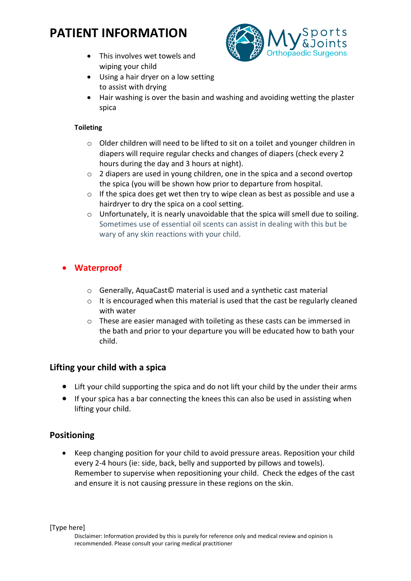# **PATIENT INFORMATION**

• This involves wet towels and wiping your child



- Using a hair dryer on a low setting to assist with drying
- Hair washing is over the basin and washing and avoiding wetting the plaster spica

#### **Toileting**

- o Older children will need to be lifted to sit on a toilet and younger children in diapers will require regular checks and changes of diapers (check every 2 hours during the day and 3 hours at night).
- o 2 diapers are used in young children, one in the spica and a second overtop the spica (you will be shown how prior to departure from hospital.
- o If the spica does get wet then try to wipe clean as best as possible and use a hairdryer to dry the spica on a cool setting.
- $\circ$  Unfortunately, it is nearly unavoidable that the spica will smell due to soiling. Sometimes use of essential oil scents can assist in dealing with this but be wary of any skin reactions with your child.

## • **Waterproof**

- o Generally, AquaCast© material is used and a synthetic cast material
- o It is encouraged when this material is used that the cast be regularly cleaned with water
- o These are easier managed with toileting as these casts can be immersed in the bath and prior to your departure you will be educated how to bath your child.

## **Lifting your child with a spica**

- Lift your child supporting the spica and do not lift your child by the under their arms
- If your spica has a bar connecting the knees this can also be used in assisting when lifting your child.

## **Positioning**

• Keep changing position for your child to avoid pressure areas. Reposition your child every 2-4 hours (ie: side, back, belly and supported by pillows and towels). Remember to supervise when repositioning your child. Check the edges of the cast and ensure it is not causing pressure in these regions on the skin.

[Type here]

Disclaimer: Information provided by this is purely for reference only and medical review and opinion is recommended. Please consult your caring medical practitioner